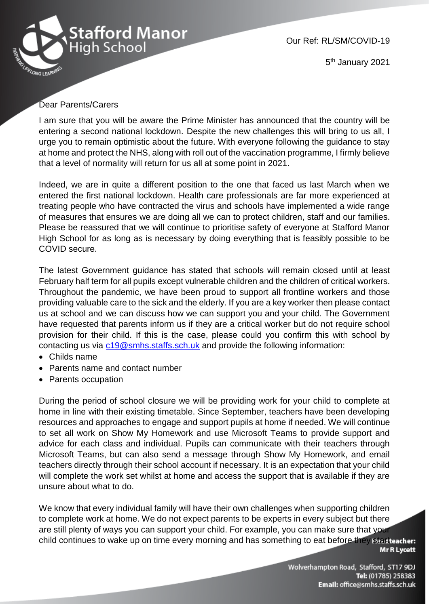

Our Ref: RL/SM/COVID-19

5<sup>th</sup> January 2021

## Dear Parents/Carers

I am sure that you will be aware the Prime Minister has announced that the country will be entering a second national lockdown. Despite the new challenges this will bring to us all, I urge you to remain optimistic about the future. With everyone following the guidance to stay at home and protect the NHS, along with roll out of the vaccination programme, I firmly believe that a level of normality will return for us all at some point in 2021.

Indeed, we are in quite a different position to the one that faced us last March when we entered the first national lockdown. Health care professionals are far more experienced at treating people who have contracted the virus and schools have implemented a wide range of measures that ensures we are doing all we can to protect children, staff and our families. Please be reassured that we will continue to prioritise safety of everyone at Stafford Manor High School for as long as is necessary by doing everything that is feasibly possible to be COVID secure.

The latest Government guidance has stated that schools will remain closed until at least February half term for all pupils except vulnerable children and the children of critical workers. Throughout the pandemic, we have been proud to support all frontline workers and those providing valuable care to the sick and the elderly. If you are a key worker then please contact us at school and we can discuss how we can support you and your child. The Government have requested that parents inform us if they are a critical worker but do not require school provision for their child. If this is the case, please could you confirm this with school by contacting us via [c19@smhs.staffs.sch.uk](mailto:c19@smhs.staffs.sch.uk) and provide the following information:

- Childs name
- Parents name and contact number
- Parents occupation

During the period of school closure we will be providing work for your child to complete at home in line with their existing timetable. Since September, teachers have been developing resources and approaches to engage and support pupils at home if needed. We will continue to set all work on Show My Homework and use Microsoft Teams to provide support and advice for each class and individual. Pupils can communicate with their teachers through Microsoft Teams, but can also send a message through Show My Homework, and email teachers directly through their school account if necessary. It is an expectation that your child will complete the work set whilst at home and access the support that is available if they are unsure about what to do.

We know that every individual family will have their own challenges when supporting children to complete work at home. We do not expect parents to be experts in every subject but there are still plenty of ways you can support your child. For example, you can make sure that your child continues to wake up on time every morning and has something to eat before they start teacher: **Mr R Lycett** 

> Wolverhampton Road, Stafford, ST17 9DJ Tel: (01785) 258383 Email: office@smhs.staffs.sch.uk